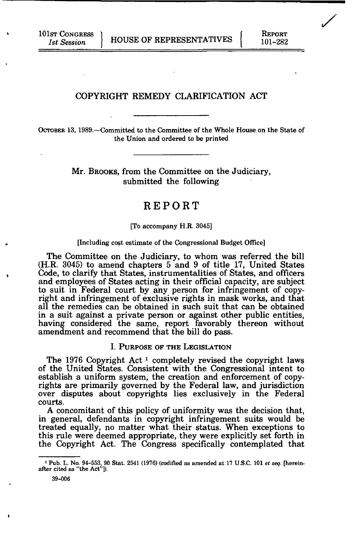## COPYRIGHT REMEDY CLARIFICATION ACT

OCTOBER 13, 1989.—Committed to the Committee of the Whole House on the State of the Union and ordered to be printed

> Mr. BROOKS, from the Committee on the Judiciary, submitted the following

# REPORT

#### [To accompany H.R. 3045]

#### [Including cost estimate of the Congressional Budget Office]

The Committee on the Judiciary, to whom was referred the bill (H.R. 3045) to amend chapters 5 and 9 of title 17, United States Code, to clarify that States, instrumentalities of States, and officers and employees of States acting in their official capacity, are subject to suit in Federal court by any person for infringement of copyright and infringement of exclusive rights in mask works, and that all the remedies can be obtained in such suit that can be obtained in a suit against a private person or against other public entities, having considered the same, report favorably thereon without amendment and recommend that the bill do pass.

## I. PURPOSE OF THE LEGISLATION

The 1976 Copyright Act<sup>1</sup> completely revised the copyright laws of the United States. Consistent with the Congressional intent to establish a uniform system, the creation and enforcement of copyrights are primarily governed by the Federal law, and jurisdiction over disputes about copyrights lies exclusively in the Federal courts.

A concomitant of this policy of uniformity was the decision that, in general, defendants in copyright infringement suits would be treated equally, no matter what their status. When exceptions to this rule were deemed appropriate, they were explicitly set forth in the Copyright Act. The Congress specifically contemplated that */* 

<sup>1</sup> Pub. L. No. 94-553, 90 Stat. 2541 (1976) (codified as amended at 17 U.S.C. 101 *et seq.* [hereinafter cited as "the Act"]).

<sup>39-006</sup>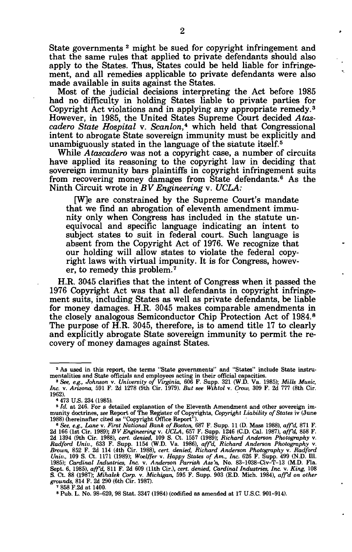State governments <sup>2</sup> might be sued for copyright infringement and that the same rules that applied to private defendants should also apply to the States. Thus, States could be held liable for infringement, and all remedies applicable to private defendants were also made available in suits against the States.

Most of the judicial decisions interpreting the Act before 1985 had no difficulty in holding States liable to private parties for Copyright Act violations and in applying any appropriate remedy.<sup>3</sup> However, in 1985, the United States Supreme Court decided *Atascadero State Hospital* v. *Scanlon\** which held that Congressional intent to abrogate State sovereign immunity must be explicitly and unambiguously stated in the language of the statute itself.<sup>5</sup>

While *Atascadero* was not a copyright case, a number of circuits have applied its reasoning to the copyright law in deciding that sovereign immunity bars plaintiffs in copyright infringement suits from recovering money damages from State defendants.<sup>6</sup> As the Ninth Circuit wrote in BV Engineering v. UCLA:

[W]e are constrained by the Supreme Court's mandate that we find an abrogation of eleventh amendment immunity only when Congress has included in the statute unequivocal and specific language indicating an intent to subject states to suit in federal court. Such language is absent from the Copyright Act of 1976. We recognize that our holding will allow states to violate the federal copyright laws with virtual impunity. It is for Congress, however, to remedy this problem.<sup>7</sup>

H.R. 3045 clarifies that the intent of Congress when it passed the 1976 Copyright Act was that all defendants in copyright infringement suits, including States as well as private defendants, be liable for money damages. H.R. 3045 makes comparable amendments in the closely analogous Semiconductor Chip Protection Act of 1984.<sup>8</sup> The purpose of H.R. 3045, therefore, is to amend title 17 to clearly and explicitly abrogate State sovereign immunity to permit the recovery of money damages against States.

<sup>2</sup> As used in this report, the terms "State governments" and "States" include State instru-

mentalities and State officials and employees acting in their official capacities.<br><sup>3</sup> See, e.g., Johnson v. University of Virginia, 606 F. Supp. 321 (W.D. Va. 1985); Mills Music,<br>Inc. v. Arizona, 591 F. 2d 1278 (9th Cir. 1962).

<sup>4 473</sup> U.S. 234 (1985).

<sup>&</sup>lt;sup>4</sup> 473 U.S. 234 (1985).<br>
<sup>5</sup> *Id.* at 246. For a detailed explanation of the Eleventh Amendment and other sovereign im-<br>
munity doctrines, see Report of The Register of Copyrights, Copyright Liability of States iv (June<br> S. Ct. 88 (1987); Mihalek Corp. v. Michigan, 595 F. Supp. 903 (E.D. Mich. 1984), aff'd on other grounds, 814 F. 2d 290 (6th Cir. 1987).

<sup>&#</sup>x27; 858 F.2d at 1400.

<sup>8</sup> Pub. L. No. 98-620, 98 Stat. 3347 (1984) (codified as amended at 17 U.S.C. 901-914).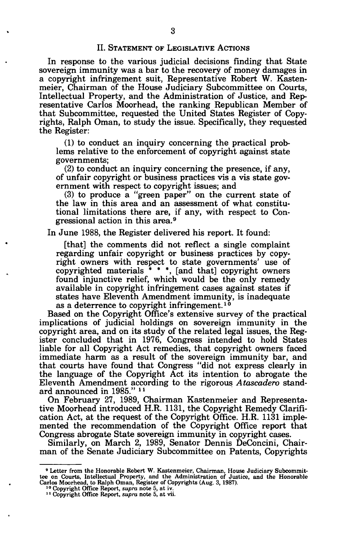In response to the various judicial decisions finding that State sovereign immunity was a bar to the recovery of money damages in a copyright infringement suit, Representative Robert W. Kastenmeier, Chairman of the House Judiciary Subcommittee on Courts, Intellectual Property, and the Administration of Justice, and Representative Carlos Moorhead, the ranking Republican Member of that Subcommittee, requested the United States Register of Copyrights, Ralph Oman, to study the issue. Specifically, they requested the Register:

(1) to conduct an inquiry concerning the practical problems relative to the enforcement of copyright against state governments;

(2) to conduct an inquiry concerning the presence, if any, of unfair copyright or business practices vis a vis state government with respect to copyright issues; and

(3) to produce a "green paper" on the current state of the law in this area and an assessment of what constitutional limitations there are, if any, with respect to Congressional action in this area.<sup>9</sup>

In June 1988, the Register delivered his report. It found:

[that] the comments did not reflect a single complaint regarding unfair copyright or business practices by copyright owners with respect to state governments' use of copyrighted materials  $* * *$ , [and that] copyright owners found injunctive relief, which would be the only remedy available in copyright infringement cases against states if states have Eleventh Amendment immunity, is inadequate as a deterrence to copyright infringement.<sup>10</sup>

Based on the Copyright Office's extensive survey of the practical implications of judicial holdings on sovereign immunity in the copyright area, and on its study of the related legal issues, the Register concluded that in 1976, Congress intended to hold States liable for all Copyright Act remedies, that copyright owners faced immediate harm as a result of the sovereign immunity bar, and that courts have found that Congress "did not express clearly in the language of the Copyright Act its intention to abrogate the Eleventh Amendment according to the rigorous *Atascadero* stand-Eleventh Amendment acco<br>ard announced in 1985."

On February 27, 1989, Chairman Kastenmeier and Representative Moorhead introduced H.R. 1131, the Copyright Remedy Clarification Act, at the request of the Copyright Office. H.R. 1131 implemented the recommendation of the Copyright Office report that Congress abrogate State sovereign immunity in copyright cases.

Similarly, on March 2, 1989, Senator Dennis DeConcini, Chairman of the Senate Judiciary Subcommittee on Patents, Copyrights

<sup>&</sup>lt;sup>9</sup> Letter from the Honorable Robert W. Kastenmeier, Chairman, House Judiciary Subcommit-<br>tee on Courts, Intellectual Property, and the Administration of Justice, and the Honorable<br>Carlos Moorhead, to Ralph Oman, Register

<sup>&</sup>lt;sup>11</sup> Copyright Office Report, *supra* note 5, at vii.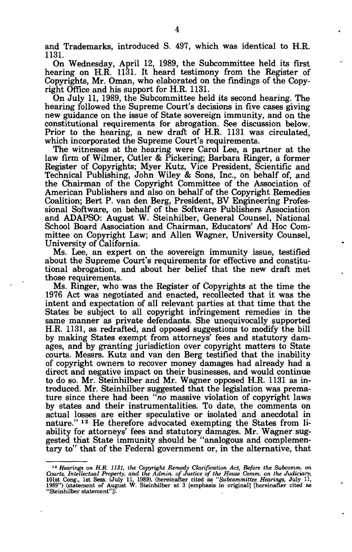and Trademarks, introduced S. 497, which was identical to H.R. 1131.

On Wednesday, April 12, 1989, the Subcommittee held its first hearing on H.R. 1131. It heard testimony from the Register of Copyrights, Mr. Oman, who elaborated on the findings of the Copyright Office and his support for H.R. 1131.

On July 11, 1989, the Subcommittee held its second hearing. The hearing followed the Supreme Court's decisions in five cases giving new guidance on the issue of State sovereign immunity, and on the constitutional requirements for abrogation. See discussion below. Prior to the hearing, a new draft of H.R. 1131 was circulated, which incorporated the Supreme Court's requirements.

The witnesses at the hearing were Carol Lee, a partner at the law firm of Wilmer, Cutler & Pickering; Barbara Ringer, a former Register of Copyrights; Myer Kutz, Vice President, Scientific and Technical Publishing, John Wiley & Sons, Inc., on behalf of, and the Chairman of the Copyright Committee of the Association of American Publishers and also on behalf of the Copyright Remedies Coalition; Bert P. van den Berg, President, BV Engineering Professional Software, on behalf of the Software Publishers Association and ADAPSO: August W. Steinhilber, General Counsel, National School Board Association and Chairman, Educators' Ad Hoc Committee on Copyright Law; and Allen Wagner, University Counsel, University of California.

Ms. Lee, an expert on the sovereign immunity issue, testified about the Supreme Court's requirements for effective and constitutional abrogation, and about her belief that the new draft met those requirements.

Ms. Ringer, who was the Register of Copyrights at the time the 1976 Act was negotiated and enacted, recollected that it was the intent and expectation of all relevant parties at that time that the States be subject to all copyright infringement remedies in the same manner as private defendants. She unequivocally supported H.R. 1131, as redrafted, and opposed suggestions to modify the bill by making States exempt from attorneys' fees and statutory damages, and by granting jurisdiction over copyright matters to State courts. Messrs. Kutz and van den Berg testified that the inability of copyright owners to recover money damages had already had a direct and negative impact on their businesses, and would continue to do so. Mr. Steinhilber and Mr. Wagner opposed H.R. 1131 as introduced. Mr. Steinhilber suggested that the legislation was premature since there had been *"no* massive violation of copyright laws by states and their instrumentalities. To date, the comments on actual losses are either speculative or isolated and anecdotal in nature." <sup>12</sup> He therefore advocated exempting the States from liability for attorneys' fees and statutory damages. Mr. Wagner suggested that State immunity should be "analogous and complementary to" that of the Federal government or, in the alternative, that

<sup>&</sup>lt;sup>12</sup> Hearings on H.R. 1131, the Copyright Remedy Clarification Act, Before the Subcomm. on Courts, Intellectual Property, and the Admin. of Justice of the House Comm. on the Judiciary, J0161s Cong., 1st Sess. (July 11, 19 "Steinhilber statement"]).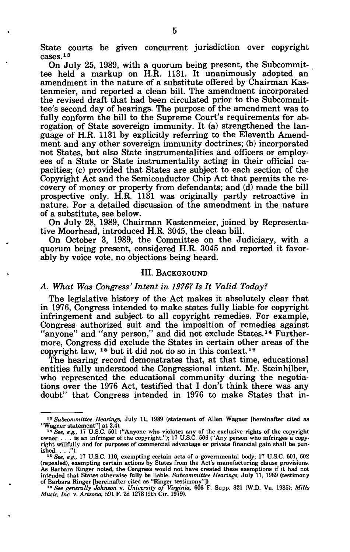State courts be given concurrent jurisdiction over copyright cases.<sup>13</sup>

On July 25, 1989, with a quorum being present, the Subcommittee held a markup on H.R. 1131. It unanimously adopted an amendment in the nature of a substitute offered by Chairman Kastenmeier, and reported a clean bill. The amendment incorporated the revised draft that had been circulated prior to the Subcommittee's second day of hearings. The purpose of the amendment was to fully conform the bill to the Supreme Court's requirements for abrogation of State sovereign immunity. It (a) strengthened the language of H.R. 1131 by explicitly referring to the Eleventh Amendment and any other sovereign immunity doctrines; (b) incorporated not States, but also State instrumentalities and officers or employees of a State or State instrumentality acting in their official capacities; (c) provided that States are subject to each section of the Copyright Act and the Semiconductor Chip Act that permits the recovery of money or property from defendants; and (d) made the bill prospective only. H.R. 1131 was originally partly retroactive in nature. For a detailed discussion of the amendment in the nature of a substitute, see below.

On July 28, 1989, Chairman Kastenmeier, joined by Representative Moorhead, introduced H.R. 3045, the clean bill.

On October 3, 1989, the Committee on the Judiciary, with a quorum being present, considered H.R. 3045 and reported it favorably by voice vote, no objections being heard.

## III. BACKGROUND

## *A. What Was Congress'Intent in 1976?Is It Valid Today?*

The legislative history of the Act makes it absolutely clear that in 1976, Congress intended to make states fully liable for copyright infringement and subject to all copyright remedies. For example, Congress authorized suit and the imposition of remedies against "anyone" and "any person," and did not exclude States.<sup>14</sup> Furthermore, Congress did exclude the States in certain other areas of the copyright law,  $15$  but it did not do so in this context.<sup>16</sup>

The hearing record demonstrates that, at that time, educational entities fully understood the Congressional intent. Mr. Steinhilber, who represented the educational community during the negotiations over the 1976 Act, testified that I don't think there was any doubt" that Congress intended in 1976 to make States that in-

<sup>&</sup>lt;sup>13</sup> Subcommittee Hearings, July 11, 1989 (statement of Allen Wagner [hereinafter cited as "Wagner statement"] at 2,4).

**<sup>14</sup> See, e.g., 17 U.S.C.** 501 ("Anyone who violates any of the exclusive rights of the copyright owner . . . is an infringer of the copyright."); 17 U.S.C. 506 ("Any person who infringes a copyright willfully and for purp ished. . . .").

<sup>15</sup> See, e.g., 17 U.S.C. 110, exempting certain acts of a governmental body; 17 U.S.C. 601, 602<br>(repealed), exempting certain actions by States from the Act's manufacturing clause provisions. As Barbara Ringer noted, the Congress would not have created these exemptions if it had not intended that States otherwise fully be liable. Subcommittee Hearings, July 11, 1989 (testimony of Barbara Ringer [hereinafter cited as "Ringer testimony"]).<br>1<sup>6</sup> See generally Johnson v. University of Virginia, 606 F. Sup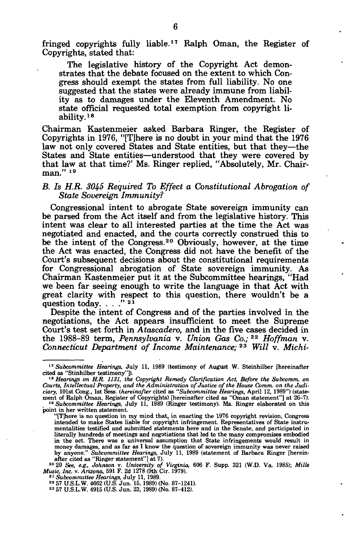fringed copyrights fully liable.<sup>17</sup> Ralph Oman, the Register of Copyrights, stated that:

The legislative history of the Copyright Act demonstrates that the debate focused on the extent to which Congress should exempt the states from full liability. No one suggested that the states were already immune from liability as to damages under the Eleventh Amendment. No state official requested total exemption from copyright liability.<sup>18</sup>

Chairman Kastenmeier asked Barbara Ringer, the Register of Copyrights in 1976, "[T]here is no doubt in your mind that the 1976 law not only covered States and State entities, but that they—the States and State entities—understood that they were covered by that law at that time?' Ms. Ringer replied, "Absolutely, Mr. Chair- $\frac{1}{2}$  man."<sup>19</sup>

## *B. Is H.R. 3045 Required To Effect a Constitutional Abrogation of State Sovereign Immunity?*

Congressional intent to abrogate State sovereign immunity can be parsed from the Act itself and from the legislative history. This intent was clear to all interested parties at the time the Act was negotiated and enacted, and the courts correctly construed this to be the intent of the Congress.<sup>20</sup> Obviously, however, at the time the Act was enacted, the Congress did not have the benefit of the Court's subsequent decisions about the constitutional requirements for Congressional abrogation of State sovereign immunity. As Chairman Kastenmeier put it at the Subcommittee hearings, "Had we been far seeing enough to write the language in that Act with great clarity with respect to this question, there wouldn't be a  $\frac{1}{2}$  question today.  $\cdots$   $\cdots$   $\frac{21}{21}$ 

Despite the intent of Congress and of the parties involved in the negotiations, the Act appears insufficient to meet the Supreme Court's test set forth in *Atascadero,* and in the five cases decided in the 1988-89 term, *Pennsylvania* v. *Union Gas Co.;*<sup>22</sup>  *Hoffman* v. *Connecticut Department of Income Maintenance;*<sup>23</sup> Will v. Michi-

<sup>21</sup> Subcommittee Hearings, July 11, 1989.<br><sup>22</sup> 57 U.S.L.W. 4662 (U.S. Jun. 15, 1989) (No. 87–1241).<br><sup>23</sup> 57 U.S.L.W. 4915 (U.S. Jun. 23, 1989) (No. 87–412).

**6** 

<sup>&</sup>lt;sup>17</sup> Subcommittee Hearings, July 11, 1989 (testimony of August W. Steinhilber [hereinafter cited as "Stinhilber testimony"]).

<sup>&</sup>lt;sup>18</sup> Hearings on H.R. 1131, the Copyright Remedy Clarification Act, Before the Subcomm. on *Courts, Intellectual Property, and the Administration of Justice of the House Comm. on the Judiciary,* 101st Cong., 1st Sess. *(hereinafter* cited as *"Subcommittee Hearings,* April 12, 1989") (statement of Ralph Oman, Register of Copyrights) [hereinafter cited as "Oman statement"] at 26-7). 19  *Subcommittee Hearings,* July 11, 1989 (Ringer testimony). Ms. Ringer elaborated on this point in her written statement.

<sup>&</sup>quot;[TJhere is no question in my mind that, in enacting the 1976 copyright revision, Congress intended to make States liable for copyright infringement. Representatives of State instrumentalities testified and submitted statements here and in the Senate, and participated in literally hundreds of meetings and negotiations that led to the many compromises embodied in the act. There was a universal assumption that State infringements would result in money damages, and as far as I know the question of sovereign immunity was never raised<br>by anyone." Subcommittee Hearings, July 11, 1989 (statement of Barbara Ringer [herein-<br>after cited as "Ringer statement"] at 7).<br> $20 \text$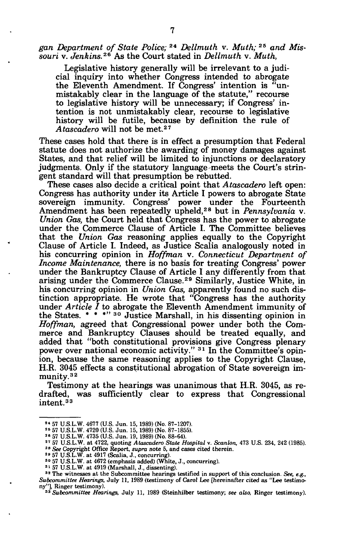gan Department of State Police;<sup>24</sup> Dellmuth v. Muth;<sup>25</sup> and Mis *souri* v. *Jenkins.<sup>26</sup>* As the Court stated in *Dellmuth* v. *Muth,* 

Legislative history generally will be irrelevant to a judicial inquiry into whether Congress intended to abrogate the Eleventh Amendment. If Congress' intention is "unmistakably clear in the language of the statute," recourse to legislative history will be unnecessary; if Congress' intention is not unmistakably clear, recourse to legislative history will be futile, because by definition the rule of *Atascadero* will not be met.<sup>27</sup>

These cases hold that there is in effect a presumption that Federal statute does not authorize the awarding of money damages against States, and that relief will be limited to injunctions or declaratory judgments. Only if the statutory language-meets the Court's stringent standard will that presumption be rebutted.

These cases also decide a critical point that *Atascadero* left open: Congress has authority under its Article I powers to abrogate State sovereign immunity. Congress' power under the Fourteenth Amendment has been repeatedly upheld,<sup>28</sup> but in *Pennsylvania* v. *Union Gas,* the Court held that Congress has the power to abrogate under the Commerce Clause of Article I. The Committee believes that the *Union Gas* reasoning applies equally to the Copyright Clause of Article I. Indeed, as Justice Scalia analogously noted in his concurring opinion in *Hoffman* v. *Connecticut Department of Income Maintenance,* there is no basis for treating Congress' power under the Bankruptcy Clause of Article I any differently from that arising under the Commerce Clause.<sup>29</sup> Similarly, Justice White, in his concurring opinion in *Union Gas,* apparently found no such distinction appropriate. He wrote that "Congress has the authority under *Article I* to abrogate the Eleventh Amendment immunity of the States. \* \* \*'' <sup>30</sup> Justice Marshall, in his dissenting opinion in *Hoffman,* agreed that Congressional power under both the Commerce and Bankruptcy Clauses should be treated equally, and added that "both constitutional provisions give Congress plenary power over national economic activity." <sup>31</sup> In the Committee's opinion, because the same reasoning applies to the Copyright Clause, H.R. 3045 effects a constitutional abrogation of State sovereign immunity.<sup>32</sup>

Testimony at the hearings was unanimous that H.R. 3045, as redrafted, was sufficiently clear to express that Congressional intent.<sup>33</sup>

<sup>&</sup>lt;sup>24</sup> 57 U.S.L.W. 4677 (U.S. Jun. 15, 1989) (No. 87-1207).<br><sup>25</sup> 57 U.S.L.W. 4720 (U.S. Jun. 15, 1989) (No. 87-1855).<br><sup>26</sup> 57 U.S.L.W. 4735 (U.S. Jun. 19, 1989) (No. 88-64).<br><sup>27</sup> 57 U.S.L.W. at 4722, quoting Atascadero Stat

<sup>&</sup>lt;sup>30</sup> 57 U.S.L.W. at 4672 (emphasis added) (White, J., concurring).

<sup>31</sup> 57 U.S.L.W. at 4919 (Marshall, J., dissenting).

<sup>32</sup> The witnesses at the Subcommittee hearings testified in support of this conclusion. *See, e.g., Subcommittee Hearings,* July 11, 1989 (testimony of Carol Lee [hereinafter cited as "Lee testimony"], Ringer testimony). *<sup>33</sup> Subcommittee Hearings,* July 11, 1989 (Steinhilber testimony; *see also,* Ringer testimony).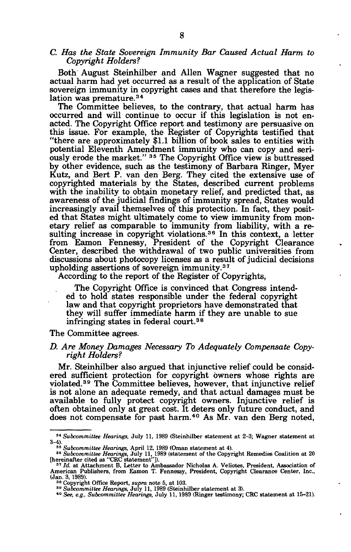## *C. Has the State Sovereign Immunity Bar Caused Actual Harm to Copyright Holders?*

Both August Steinhilber and Allen Wagner suggested that no actual harm had yet occurred as a result of the application of State sovereign immunity in copyright cases and that therefore the legislation was premature.<sup>34</sup>

The Committee believes, to the contrary, that actual harm has occurred and will continue to occur if this legislation is not enacted. The Copyright Office report and testimony are persuasive on this issue. For example, the Register of Copyrights testified that "there are approximately \$1.1 billion of book sales to entities with potential Eleventh Amendment immunity who can copy and seriously erode the market." <sup>35</sup> The Copyright Office view is buttressed by other evidence, such as the testimony of Barbara Ringer, Myer Kutz, and Bert P. van den Berg. They cited the extensive use of copyrighted materials by the States, described current problems with the inability to obtain monetary relief, and predicted that, as awareness of the judicial findings of immunity spread, States would increasingly avail themselves of this protection. In fact, they posited that States might ultimately come to view immunity from monetary relief as comparable to immunity from liability, with a resulting increase in copyright violations.<sup>36</sup> In this context, a letter from Eamon Fennessy, President of the Copyright Clearance Center, described the withdrawal of two public universities from discussions about photocopy licenses as a result of judicial decisions upholding assertions of sovereign immunity.<sup>37</sup>

According to the report of the Register of Copyrights,

The Copyright Office is convinced that Congress intended to hold states responsible under the federal copyright law and that copyright proprietors have demonstrated that they will suffer immediate harm if they are unable to sue infringing states in federal court.<sup>38</sup>

#### The Committee agrees.

#### *D. Are Money Damages Necessary To Adequately Compensate Copyright Holders?*

Mr. Steinhilber also argued that injunctive relief could be considered sufficient protection for copyright owners whose rights are violated.<sup>39</sup> The Committee believes, however, that injunctive relief is not alone an adequate remedy, and that actual damages must be available to fully protect copyright owners. Injunctive relief is often obtained only at great cost. It deters only future conduct, and does not compensate for past harm.<sup>40</sup> As Mr. van den Berg noted,

<sup>34</sup>  *Subcommittee Hearings,* July 11, 1989 (Steinhilber statement at 2-3; Wagner statement at

<sup>3-4).&</sup>lt;br>
<sup>35</sup> *Subcommittee Hearings*, April 12, 1989 (Oman statement at 4).<br>
<sup>36</sup> *Subcommittee Hearings*, July 11, 1989 (statement of the Copyright Remedies Coalition at 20<br>
[hereinafter cited as "CRC statement"]).<br>
<sup>37</sup>

<sup>&</sup>lt;sup>7</sup> *Id.* at Attachment B, Letter to Ambassador Nicholas A. Veliotes, President, Association of American Publishers, from Eamon T. Fennessy, President, Copyright Clearance Center, Inc., (Jan. 3, 1989).

<sup>&</sup>lt;sup>38</sup> Copyright Office Report, *supra* note 5, at 103.<br><sup>39</sup> Subcommittee Hearings, July 11, 1989 (Steinhilber statement at 3).<br><sup>49</sup> Subcommittee Hearings, July 11, 1989 (Steinhilberg).

*See, e.g., Subcommittee Hearings,* July 11, 1989 (Ringer testimony; CRC statement at 15-21).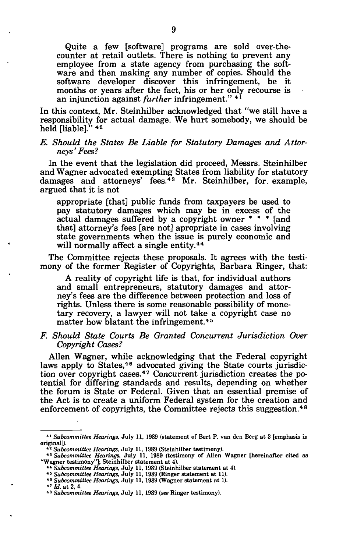Quite a few [software] programs are sold over-thecounter at retail outlets. There is nothing to prevent any employee from a state agency from purchasing the software and then making any number of copies. Should the software developer discover this infringement, be it months or years after the fact, his or her only recourse is an injunction against *further* infringement." 4*1* 

In this context, Mr. Steinhilber acknowledged that "we still have a responsibility for actual damage. We hurt somebody, we should be held [liable].<sup>3</sup>' <sup>42</sup>

## *E. Should the States Be Liable for Statutory Damages and Attorneys' Fees?*

In the event that the legislation did proceed, Messrs. Steinhilber and Wagner advocated exempting States from liability for statutory damages and attorneys' fees.<sup>43</sup> Mr. Steinhilber, for example, argued that it is not

appropriate [that] public funds from taxpayers be used to pay statutory damages which may be in excess of the actual damages suffered by a copyright owner \* \* \* [and that] attorney's fees [are not] apropriate in cases involving state governments when the issue is purely economic and will normally affect a single entity.<sup>44</sup>

The Committee rejects these proposals. It agrees with the testimony of the former Register of Copyrights, Barbara Ringer, that:

A reality of copyright life is that, for individual authors and small entrepreneurs, statutory damages and attorney's fees are the difference between protection and loss of rights. Unless there is some reasonable possibility of monetary recovery, a lawyer will not take a copyright case no matter how blatant the infringement.<sup>45</sup>

## *F Should State Courts Be Granted Concurrent Jurisdiction Over Copyright Cases?*

Allen Wagner, while acknowledging that the Federal copyright laws apply to States,<sup>46</sup> advocated giving the State courts jurisdiction over copyright cases.<sup>47</sup> Concurrent jurisdiction creates the potential for differing standards and results, depending on whether the forum is State or Federal. Given that an essential premise of the Act is to create a uniform Federal system for the creation and enforcement of copyrights, the Committee rejects this suggestion.<sup>48</sup>

<sup>41</sup>  *Subcommittee Hearings,* July 11, 1989 (statement of Bert P. van den Berg at 3 [emphasis in original]).

<sup>42</sup>  *Subcommittee Hearings,* July 11, 1989 (Steinhilber testimony).

<sup>43</sup>  *Subcommittee Hearings,* July 11, 1989 (testimony of Allen Wagner [hereinafter cited as "Wagner testimony"]; Steinhilber statement at 4).

<sup>&</sup>lt;sup>44</sup> Subcommittee Hearings, July 11, 1989 (Steinhilber statement at 4).<br><sup>45</sup> Subcommittee Hearings, July 11, 1989 (Ringer statement at 11).<br><sup>46</sup> Subcommittee Hearings, July 11, 1989 (Ringer statement at 1).

*Subcommittee Hearings,* July 11, 1989 (Wagner statement at 1).

 $47$   $\bar{d}$ , at 2, 4.

<sup>48</sup>  *Subcommittee Hearings,* July 11, 1989 (see Ringer testimony).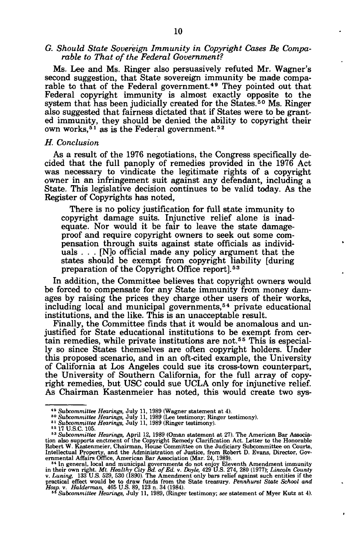## *G. Should State Sovereign Immunity in Copyright Cases Be Comparable to That of the Federal Government?*

Ms. Lee and Ms. Ringer also persuasively refuted Mr. Wagner's second suggestion, that State sovereign immunity be made comparable to that of the Federal government.<sup>49</sup> They pointed out that Federal copyright immunity is almost exactly opposite to the system that has been judicially created for the States.<sup>50</sup> Ms. Ringer also suggested that fairness dictated that if States were to be granted immunity, they should be denied the ability to copyright their own works,<sup>51</sup> as is the Federal government.<sup>52</sup>

## *H. Conclusion*

As a result of the 1976 negotiations, the Congress specifically decided that the full panoply of remedies provided in the 1976 Act was necessary to vindicate the legitimate rights of a copyright owner in an infringement suit against any defendant, including a State. This legislative decision continues to be valid today. As the Register of Copyrights has noted,

There is no policy justification for full state immunity to copyright damage suits. Injunctive relief alone is inadequate. Nor would it be fair to leave the state damageproof and require copyright owners to seek out some compensation through suits against state officials as individuals . . . [N]o official made any policy argument that the states should be exempt from copyright liability [during preparation of the Copyright Office report].<sup>53</sup>

In addition, the Committee believes that copyright owners would be forced to compensate for any State immunity from money damages by raising the prices they charge other users of their works, including local and municipal governments,<sup>54</sup> private educational institutions, and the like. This is an unacceptable result.

Finally, the Committee finds that it would be anomalous and unjustified for State educational institutions to be exempt from certain remedies, while private institutions are not.<sup>55</sup> This is especially so since States themselves are often copyright holders. Under this proposed scenario, and in an oft-cited example, the University of California at Los Angeles could sue its cross-town counterpart, the University of Southern California, for the full array of copyright remedies, but USC could sue UCLA only for injunctive relief. As Chairman Kastenmeier has noted, this would create two sys-

<sup>&</sup>lt;sup>49</sup> Subcommittee Hearings, July 11, 1989 (Wagner statement at 4).<br><sup>50</sup> Subcommittee Hearings, July 11, 1989 (Lee testimony; Ringer testimony).<br><sup>51</sup> Subcommittee Hearings, July 11, 1989 (Ringer testimony).<br><sup>52 17</sup> U.S.C. 1

<sup>&</sup>lt;sup>52</sup> 17 U.S.C. 105.<br>
<sup>53</sup> Subcommittee Hearings, April 12, 1989 (Oman statement at 27). The American Bar Association also supports enctment of the Copyright Remedy Clarification Act. Letter to the Honorable Robert W. Kast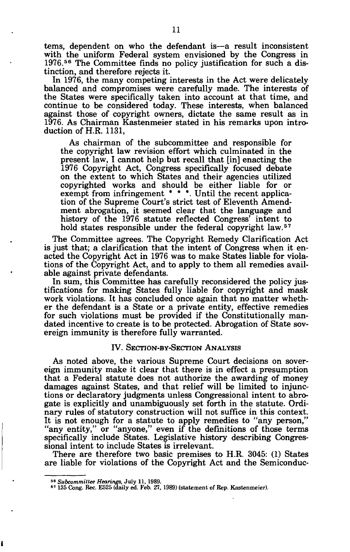tems, dependent on who the defendant is—a result inconsistent with the uniform Federal system envisioned by the Congress in 1976.<sup>56</sup> The Committee finds no policy justification for such a distinction, and therefore rejects it.

In 1976, the many competing interests in the Act were delicately balanced and compromises were carefully made. The interests of the States were specifically taken into account at that time, and continue to be considered today. These interests, when balanced against those of copyright owners, dictate the same result as in 1976. As Chairman Kastenmeier stated in his remarks upon introduction of H.R. 1131,

As chairman of the subcommittee and responsible for the copyright law revision effort which culminated in the present law, I cannot help but recall that [in] enacting the 1976 Copyright Act, Congress specifically focused debate on the extent to which States and their agencies utilized copyrighted works and should be either liable for or exempt from infringement \* \* \*. Until the recent application of the Supreme Court's strict test of Eleventh Amendment abrogation, it seemed clear that the language and history of the 1976 statute reflected Congress' intent to hold states responsible under the federal copyright law.<sup>57</sup>

The Committee agrees. The Copyright Remedy Clarification Act is just that; a clarification that the intent of Congress when it enacted the Copyright Act in 1976 was to make States liable for violations of the Copyright Act, and to apply to them all remedies available against private defendants.

In sum, this Committee has carefully reconsidered the policy justifications for making States fully liable for copyright and mask work violations. It has concluded once again that no matter whether the defendant is a State or a private entity, effective remedies for such violations must be provided if the Constitutionally mandated incentive to create is to be protected. Abrogation of State sovereign immunity is therefore fully warranted.

## IV. SECTION-BY-SECTION ANALYSIS

As noted above, the various Supreme Court decisions on sovereign immunity make it clear that there is in effect a presumption that a Federal statute does not authorize the awarding of money damages against States, and that relief will be limited to injunctions or declaratory judgments unless Congressional intent to abrogate is explicitly and unambiguously set forth in the statute. Ordinary rules of statutory construction will not suffice in this context. It is not enough for a statute to apply remedies to "any person," "any entity," or "anyone," even if the definitions of those terms specifically include States. Legislative history describing Congressional intent to include States is irrelevant.

There are therefore two basic premises to H.R. 3045: (1) States are liable for violations of the Copyright Act and the Semiconduc-

<sup>56</sup>  *Subcommittee Hearings,* July 11, 1989.

<sup>&</sup>lt;sup>57</sup> 135 Cong. Rec. E525 (daily ed. Feb. 27, 1989) (statement of Rep. Kastenmeier).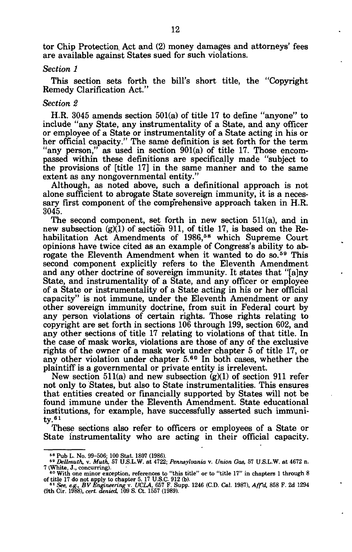tor Chip Protection Act and (2) money damages and attorneys' fees are available against States sued for such violations.

#### *Section 1*

This section sets forth the bill's short title, the "Copyright Remedy Clarification Act."

#### *Section 2*

H.R. 3045 amends section 501(a) of title 17 to define "anyone" to include "any State, any instrumentality of a State, and any officer or employee of a State or instrumentality of a State acting in his or her official capacity." The same definition is set forth for the term "any person," as used in section 901(a) of title 17. Those encompassed within these definitions are specifically made "subject to the provisions of [title 17] in the same manner and to the same extent as any nongovernmental entity."

Although, as noted above, such a definitional approach is not alone sufficient to abrogate State sovereign immunity, it is a necessary first component of the comprehensive approach taken in H.R. 3045.

The second component, set forth in new section 511(a), and in new subsection  $(g)(1)$  of section 911, of title 17, is based on the Rehabilitation Act Amendments of 1986,<sup>58</sup> which Supreme Court opinions have twice cited as an example of Congress's ability to abrogate the Eleventh Amendment when it wanted to do so.<sup>59</sup> This second component explicitly refers to the Eleventh Amendment and any other doctrine of sovereign immunity. It states that "[a]ny State, and instrumentality of a State, and any officer or employee of a State or instrumentality of a State acting in his or her official capacity" is not immune, under the Eleventh Amendment or any other sovereign immunity doctrine, from suit in Federal court by any person violations of certain rights. Those rights relating to copyright are set forth in sections 106 through 199, section 602, and any other sections of title 17 relating to violations of that title. In the case of mask works, violations are those of any of the exclusive rights of the owner of a mask work under chapter 5 of title 17, or any other violation under chapter 5.<sup>60</sup> In both cases, whether the plaintiff is a governmental or private entity is irrelevent.

New section 511(a) and new subsection  $(g)(1)$  of section 911 refer not only to States, but also to State instrumentalities. This ensures that entities created or financially supported by States will not be found immune under the Eleventh Amendment. State educational institutions, for example, have successfully asserted such immuni $tv.61$ 

These sections also refer to officers or employees of a State or State instrumentality who are acting in their official capacity.

<sup>58</sup> Pub L. No. 99-506; 100 Stat. 1807 (1986). <sup>58</sup>  *Dellmuth,* v. *Muth,* 57 U.S.L.W. at 4722; *Pennsylvania* v. *Union Gas,* 57 U.S.L.W. at 4672 n.

<sup>7 (</sup>White, J., concurring).<br>
<sup>60</sup> With one minor exception, references to "this title" or to "title 17" in chapters 1 through 8<br>
of title 17 do not apply to chapter 5. 17 U.S.C. 912 (b).<br>
<sup>61</sup> See, e.g., BV Engineering v.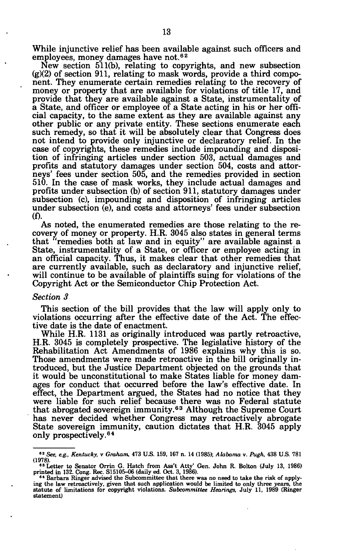While injunctive relief has been available against such officers and employees, money damages have not.<sup>62</sup>

New section 511(b), relating to copyrights, and new subsection  $(g)(2)$  of section 911, relating to mask words, provide a third component. They enumerate certain remedies relating to the recovery of money or property that are available for violations of title 17, and provide that they are available against a State, instrumentality of a State, and officer or employee of a State acting in his or her official capacity, to the same extent as they are available against any other public or any private entity. These sections enumerate each such remedy, so that it will be absolutely clear that Congress does not intend to provide only injunctive or declaratory relief. In the case of copyrights, these remedies include impounding and disposition of infringing articles under section 503, actual damages and profits and statutory damages under section 504, costs and attorneys' fees under section 505, and the remedies provided in section 510. In the case of mask works, they include actual damages and profits under subsection (b) of section 911, statutory damages under subsection (c), impounding and disposition of infringing articles under subsection (e), and costs and attorneys' fees under subsection (f).

As noted, the enumerated remedies are those relating to the recovery of money or property. H.R. 3045 also states in general terms that 'remedies both at law and in equity" are available against a State, instrumentality of a State, or officer or employee acting in an official capacity. Thus, it makes clear that other remedies that are currently available, such as declaratory and injunctive relief, will continue to be available of plaintiffs suing for violations of the Copyright Act or the Semiconductor Chip Protection Act.

#### *Section 3*

This section of the bill provides that the law will apply only to violations occurring after the effective date of the Act. The effective date is the date of enactment.

While H.R. 1131 as originally introduced was partly retroactive, H.R. 3045 is completely prospective. The legislative history of the Rehabilitation Act Amendments of 1986 explains why this is so. Those amendments were made retroactive in the bill originally introduced, but the Justice Department objected on the grounds that it would be unconstitutional to make States liable for money damages for conduct that occurred before the law's effective date. In effect, the Department argued, the States had no notice that they were liable for such relief because there was no Federal statute that abrogated sovereign immunity.<sup>63</sup> Although the Supreme Court has never decided whether Congress may retroactively abrogate State sovereign immunity, caution dictates that H.R. 3045 apply only prospectively.<sup>64</sup>

**<sup>82</sup>**  *See, eg., Kentucky,* **v** *Graham,* **473 U.S. 159, 167 n. 14 (1985);** *Alabama* **v.** *Pugh,* **438 U.S. 781** 

<sup>(1978).&</sup>lt;br>
<sup>63</sup> Letter to Senator Orrin G. Hatch from Ass't Atty' Gen. John R. Bolton (July 13, 1986)<br>
printed in 132. Cong. Rec. S15105-06 (daily ed. Oct. 3, 1986).<br>
<sup>64</sup> Barbara Ringer advised the Subcommittee that there w

**ing the law retroactively, given that such application would be limited to only three years, the statute of limitations for copyright violations.** *Subcommittee Hearings,* **July 11, 1989 (Ringer statement)**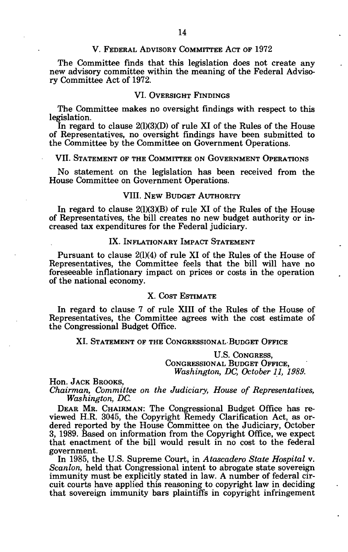## V. FEDERAL ADVISORY COMMITTEE ACT OF 1972

The Committee finds that this legislation does not create any new advisory committee within the meaning of the Federal Advisory Committee Act of 1972.

# VI. OVERSIGHT FINDINGS

The Committee makes no oversight findings with respect to this legislation.

In regard to clause  $2(1)(3)(D)$  of rule XI of the Rules of the House of Representatives, no oversight findings have been submitted to the Committee by the Committee on Government Operations.

## VII. STATEMENT OF THE COMMITTEE ON GOVERNMENT OPERATIONS

No statement on the legislation has been received from the House Committee on Government Operations.

## VIII. NEW BUDGET AUTHORITY

In regard to clause 2(1)(3)(B) of rule XI of the Rules of the House of Representatives, the bill creates no new budget authority or increased tax expenditures for the Federal judiciary.

## IX. INFLATIONARY IMPACT STATEMENT

Pursuant to clause 2(1)(4) of rule XI of the Rules of the House of Representatives, the Committee feels that the bill will have no foreseeable inflationary impact on prices or costs in the operation of the national economy.

## X. COST ESTIMATE

In regard to clause 7 of rule XIII of the Rules of the House of Representatives, the Committee agrees with the cost estimate of the Congressional Budget Office.

## XI. STATEMENT OF THE CONGRESSIONAL BUDGET OFFICE

U.S. CONGRESS, CONGRESSIONAL BUDGET OFFICE, *Washington, DC, October 11, 1989.* 

Hon. JACK BROOKS,

*Chairman, Committee on the Judiciary, House of Representatives, Washington, DC.* 

DEAR MR. CHAIRMAN: The Congressional Budget Office has reviewed H.R. 3045, the Copyright Remedy Clarification Act, as ordered reported by the House Committee on the Judiciary, October 3, 1989. Based on information from the Copyright Office, we expect that enactment of the bill would result in no cost to the federal government.

In 1985, the U.S. Supreme Court, in *Atascadero State Hospital* v. *Scanlon,* held that Congressional intent to abrogate state sovereign immunity must be explicitly stated in law. A number of federal circuit courts have applied this reasoning to copyright law in deciding that sovereign immunity bars plaintiffs in copyright infringement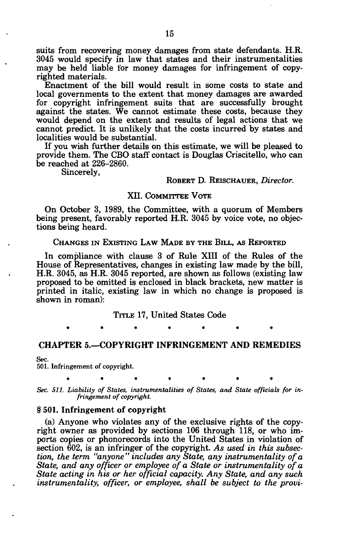suits from recovering money damages from state defendants. H.R. 3045 would specify in law that states and their instrumentalities may be held liable for money damages for infringement of copyrighted materials.

Enactment of the bill would result in some costs to state and local governments to the extent that money damages are awarded for copyright infringement suits that are successfully brought against the states. We cannot estimate these costs, because they would depend on the extent and results of legal actions that we cannot predict. It is unlikely that the costs incurred by states and localities would be substantial.

If you wish further details on this estimate, we will be pleased to provide them. The CBO staff contact is Douglas Criscitello, who can be reached at 226-2860.

Sincerely,

## ROBERT D. REISCHAUER, *Director.*

## XII. COMMITTEE VOTE

On October 3, 1989, the Committee, with a quorum of Members being present, favorably reported H.R. 3045 by voice vote, no objections being heard.

## CHANGES IN EXISTING LAW MADE BY THE BILL, AS REPORTED

In compliance with clause 3 of Rule XIII of the Rules of the House of Representatives, changes in existing law made by the bill, H.R. 3045, as H.R. 3045 reported, are shown as follows (existing law proposed to be omitted is enclosed in black brackets, new matter is printed in italic, existing law in which no change is proposed is shown in roman):

#### TITLE 17, United States Code

\*\*\*\* \*\*\* \*\* \*\* \*\* \*

### CHAPTER 5.—COPYRIGHT INFRINGEMENT AND REMEDIES

Sec.

501. Infringement of copyright.

**\*\*\*\*\*\* \*** 

*Sec. 511. Liability of States, instrumentalities of States, and State officials for infringement of copyright.* 

### § 501. Infringement of copyright

(a) Anyone who violates any of the exclusive rights of the copyright owner as provided by sections 106 through 118, or who imports copies or phonorecords into the United States in violation of section 602, is an infringer of the copyright. *As used in this subsection, the term "anyone" includes any State, any instrumentality of a State, and any officer or employee of a State or instrumentality of a State acting in his or her official capacity. Any State, and any such instrumentality, officer, or employee, shall be subject to the provi-*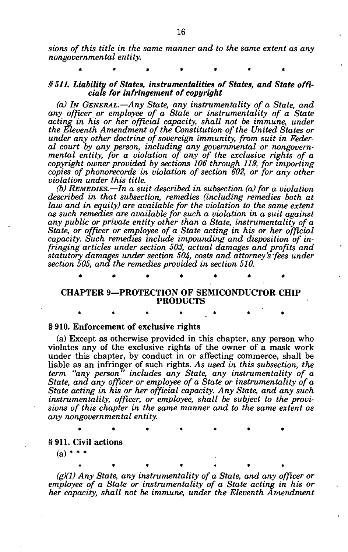*sions of this title in the same manner and to the same extent as any nongovernmental entity.* 

**\*\*\*\*\*\* \*** 

## *§ 511. Liability of States, instrumentalities of States, and State officials for infringement of copyright*

*(a) IN GENERAL.*—*Any State, any instrumentality of a State, and any officer or employee of a State or instrumentality of a State*  acting in his or her official capacity, shall not be immune, under *the Eleventh Amendment of the Constitution of the United States or under any other doctrine of sovereign immunity, from suit in Federal court by any person, including any governmental or nongovernmental entity, for a violation of any of the exclusive rights of a copyright owner provided by sections 106 through 119, for importing copies of phonorecords in violation of section 602, or for any other violation under this title.* 

*(b) REMEDIES.*—*In a suit described in subsection (a) for a violation described in that subsection, remedies (including remedies both at law and in equity) are available for the violation to the same extent as such remedies are available for such a violation in a suit against any public or private entity other than a State, instrumentality of a State, or officer or employee of a State acting in his or her official capacity. Such remedies include impounding and disposition of infringing articles under section 503, actual damages and profits and statutory damages under section 504, costs and attorney's fees under section 505, and the remedies provided in section 510.* 

## CHAPTER 9—PROTECTION OF SEMICONDUCTOR CHIP PRODUCTS

\*\*\*\* \*\*\* \*\*\* \*\* \*\*

**\*\*\*\*\*\* \*** 

\*\*\*\* \*\*\* \*\* \*\*

**\* \* \* \* \* \* \*** 

### § 910. Enforcement of exclusive rights

(a) Except as otherwise provided in this chapter, any person who violates any of the exclusive rights of the owner of a mask work under this chapter, by conduct in or affecting commerce, shall be liable as an infringer of such rights. *As used in this subsection, the term "any person" includes any State, any instrumentality of a State, and any officer or employee of a State or instrumentality of a State acting in his or her official capacity. Any State, and any such instrumentality, officer, or employee, shall be subject to the provisions of this chapter in the same manner and to the same extent as any nongovernmental entity.* 

§ 911. Civil actions

 $(a)$  \* \* \*

*(g)(1) Any State, any instrumentality of a State, and any officer or employee of a State or instrumentality of a State acting in his or her capacity, shall not be immune, under the Eleventh Amendment*